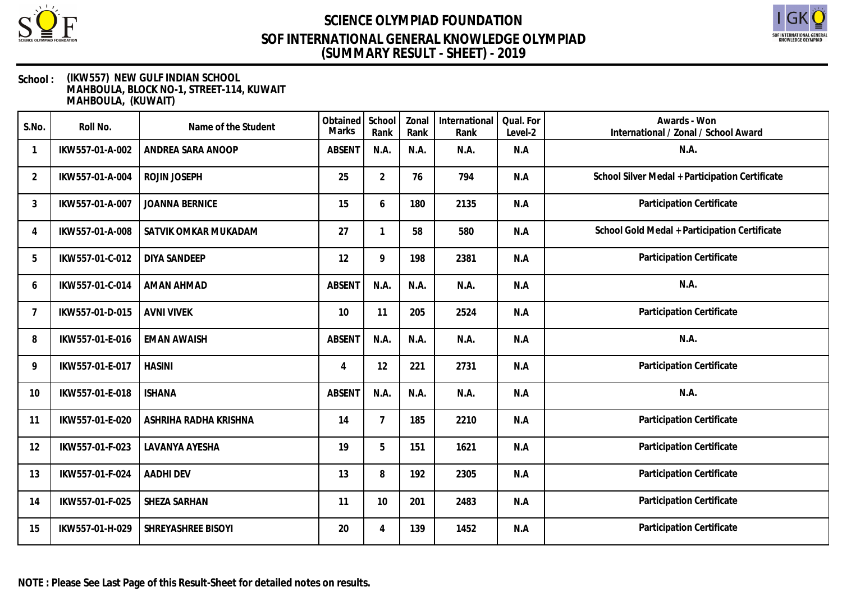



| S.No.          | Roll No.        | Name of the Student   | Obtained<br>Marks | School<br>Rank | Zonal<br>Rank | International<br>Rank | Qual. For<br>Level-2 | Awards - Won<br>International / Zonal / School Award |
|----------------|-----------------|-----------------------|-------------------|----------------|---------------|-----------------------|----------------------|------------------------------------------------------|
| 1              | IKW557-01-A-002 | ANDREA SARA ANOOP     | <b>ABSENT</b>     | N.A.           | N.A.          | N.A.                  | N.A                  | N.A.                                                 |
| $\overline{2}$ | IKW557-01-A-004 | ROJIN JOSEPH          | 25                | $\overline{2}$ | 76            | 794                   | N.A                  | School Silver Medal + Participation Certificate      |
| 3              | IKW557-01-A-007 | <b>JOANNA BERNICE</b> | 15                | 6              | 180           | 2135                  | N.A                  | Participation Certificate                            |
| 4              | IKW557-01-A-008 | SATVIK OMKAR MUKADAM  | 27                | 1              | 58            | 580                   | N.A                  | School Gold Medal + Participation Certificate        |
| 5              | IKW557-01-C-012 | <b>DIYA SANDEEP</b>   | 12                | 9              | 198           | 2381                  | N.A                  | Participation Certificate                            |
| 6              | IKW557-01-C-014 | <b>AMAN AHMAD</b>     | <b>ABSENT</b>     | N.A.           | N.A.          | N.A.                  | N.A                  | N.A.                                                 |
| 7              | IKW557-01-D-015 | <b>AVNI VIVEK</b>     | 10                | 11             | 205           | 2524                  | N.A                  | Participation Certificate                            |
| 8              | IKW557-01-E-016 | <b>EMAN AWAISH</b>    | <b>ABSENT</b>     | N.A.           | N.A.          | N.A.                  | N.A                  | N.A.                                                 |
| 9              | IKW557-01-E-017 | <b>HASINI</b>         | 4                 | 12             | 221           | 2731                  | N.A                  | Participation Certificate                            |
| 10             | IKW557-01-E-018 | <b>ISHANA</b>         | <b>ABSENT</b>     | N.A.           | N.A.          | N.A.                  | N.A                  | N.A.                                                 |
| 11             | IKW557-01-E-020 | ASHRIHA RADHA KRISHNA | 14                | $\overline{7}$ | 185           | 2210                  | N.A                  | Participation Certificate                            |
| 12             | IKW557-01-F-023 | LAVANYA AYESHA        | 19                | 5              | 151           | 1621                  | N.A                  | Participation Certificate                            |
| 13             | IKW557-01-F-024 | <b>AADHI DEV</b>      | 13                | 8              | 192           | 2305                  | N.A                  | Participation Certificate                            |
| 14             | IKW557-01-F-025 | SHEZA SARHAN          | 11                | 10             | 201           | 2483                  | N.A                  | Participation Certificate                            |
| 15             | IKW557-01-H-029 | SHREYASHREE BISOYI    | 20                | 4              | 139           | 1452                  | N.A                  | Participation Certificate                            |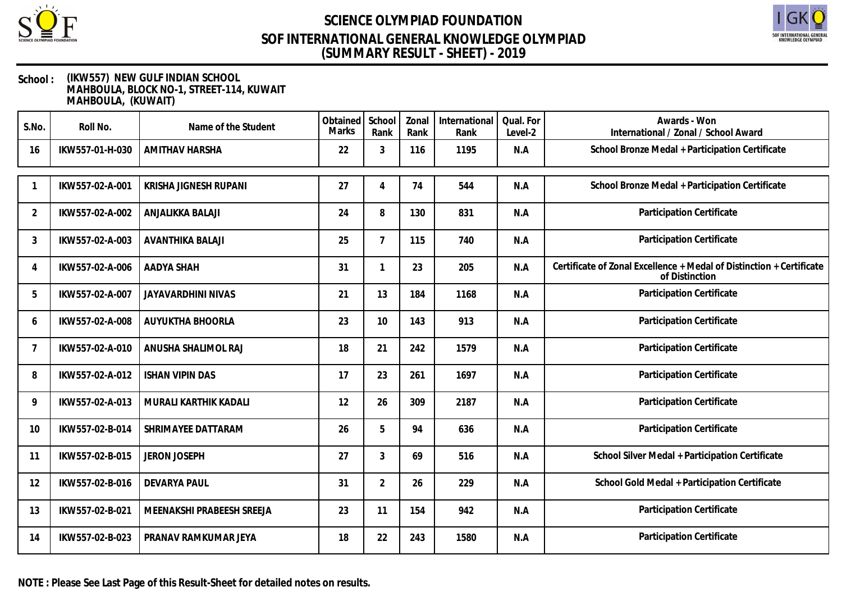



### **School : (IKW557) NEW GULF INDIAN SCHOOL MAHBOULA, BLOCK NO-1, STREET-114, KUWAIT MAHBOULA, (KUWAIT)**

| S.No.          | Roll No.        | Name of the Student       | Obtained<br><b>Marks</b> | School<br>Rank | Zonal<br>Rank | International<br>Rank | Qual. For<br>Level-2 | Awards - Won<br>International / Zonal / School Award                                   |
|----------------|-----------------|---------------------------|--------------------------|----------------|---------------|-----------------------|----------------------|----------------------------------------------------------------------------------------|
| 16             | IKW557-01-H-030 | <b>AMITHAV HARSHA</b>     | 22                       | 3              | 116           | 1195                  | N.A                  | School Bronze Medal + Participation Certificate                                        |
|                | IKW557-02-A-001 | KRISHA JIGNESH RUPANI     | 27                       | 4              | 74            | 544                   | N.A                  | School Bronze Medal + Participation Certificate                                        |
| 2              | IKW557-02-A-002 | ANJALIKKA BALAJI          | 24                       | 8              | 130           | 831                   | N.A                  | Participation Certificate                                                              |
| 3              | IKW557-02-A-003 | <b>AVANTHIKA BALAJI</b>   | 25                       | $\overline{7}$ | 115           | 740                   | N.A                  | Participation Certificate                                                              |
| 4              | IKW557-02-A-006 | AADYA SHAH                | 31                       |                | 23            | 205                   | N.A                  | Certificate of Zonal Excellence + Medal of Distinction + Certificate<br>of Distinction |
| 5              | IKW557-02-A-007 | JAYAVARDHINI NIVAS        | 21                       | 13             | 184           | 1168                  | N.A                  | Participation Certificate                                                              |
| 6              | IKW557-02-A-008 | AUYUKTHA BHOORLA          | 23                       | 10             | 143           | 913                   | N.A                  | Participation Certificate                                                              |
| $\overline{7}$ | IKW557-02-A-010 | ANUSHA SHALIMOL RAJ       | 18                       | 21             | 242           | 1579                  | N.A                  | Participation Certificate                                                              |
| 8              | IKW557-02-A-012 | <b>ISHAN VIPIN DAS</b>    | 17                       | 23             | 261           | 1697                  | N.A                  | Participation Certificate                                                              |
| 9              | IKW557-02-A-013 | MURALI KARTHIK KADALI     | 12                       | 26             | 309           | 2187                  | N.A                  | Participation Certificate                                                              |
| 10             | IKW557-02-B-014 | SHRIMAYEE DATTARAM        | 26                       | 5              | 94            | 636                   | N.A                  | Participation Certificate                                                              |
| 11             | IKW557-02-B-015 | <b>JERON JOSEPH</b>       | 27                       | 3              | 69            | 516                   | N.A                  | School Silver Medal + Participation Certificate                                        |
| 12             | IKW557-02-B-016 | <b>DEVARYA PAUL</b>       | 31                       | $\overline{2}$ | 26            | 229                   | N.A                  | School Gold Medal + Participation Certificate                                          |
| 13             | IKW557-02-B-021 | MEENAKSHI PRABEESH SREEJA | 23                       | 11             | 154           | 942                   | N.A                  | Participation Certificate                                                              |
| 14             | IKW557-02-B-023 | PRANAV RAMKUMAR JEYA      | 18                       | 22             | 243           | 1580                  | N.A                  | Participation Certificate                                                              |

**NOTE : Please See Last Page of this Result-Sheet for detailed notes on results.**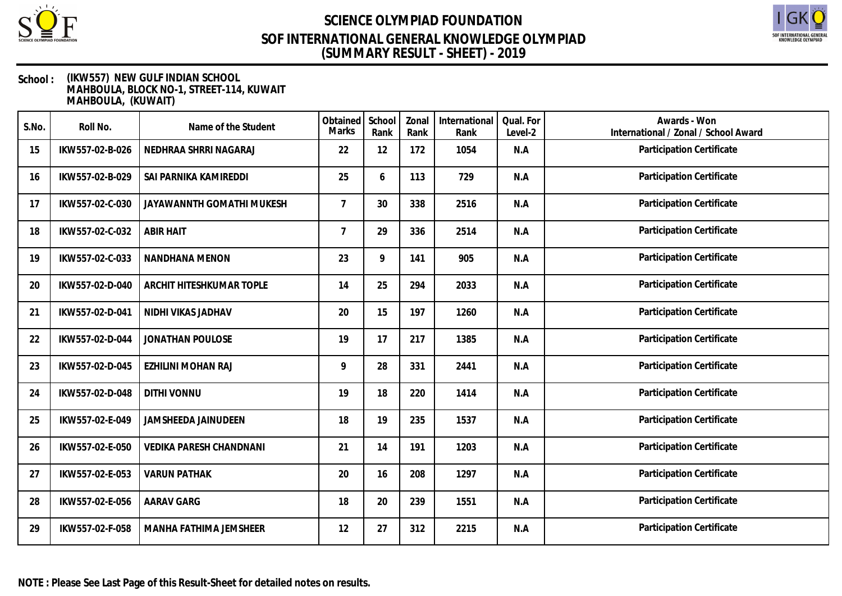



| S.No. | Roll No.        | Name of the Student            | Obtained<br>Marks | School<br>Rank | Zonal<br>Rank | International<br>Rank | Qual. For<br>Level-2 | Awards - Won<br>International / Zonal / School Award |
|-------|-----------------|--------------------------------|-------------------|----------------|---------------|-----------------------|----------------------|------------------------------------------------------|
| 15    | IKW557-02-B-026 | NEDHRAA SHRRI NAGARAJ          | 22                | 12             | 172           | 1054                  | N.A                  | Participation Certificate                            |
| 16    | IKW557-02-B-029 | SAI PARNIKA KAMIREDDI          | 25                | 6              | 113           | 729                   | N.A                  | Participation Certificate                            |
| 17    | IKW557-02-C-030 | JAYAWANNTH GOMATHI MUKESH      | $\overline{7}$    | 30             | 338           | 2516                  | N.A                  | Participation Certificate                            |
| 18    | IKW557-02-C-032 | <b>ABIR HAIT</b>               | 7                 | 29             | 336           | 2514                  | N.A                  | Participation Certificate                            |
| 19    | IKW557-02-C-033 | NANDHANA MENON                 | 23                | 9              | 141           | 905                   | N.A                  | Participation Certificate                            |
| 20    | IKW557-02-D-040 | ARCHIT HITESHKUMAR TOPLE       | 14                | 25             | 294           | 2033                  | N.A                  | Participation Certificate                            |
| 21    | IKW557-02-D-041 | NIDHI VIKAS JADHAV             | 20                | 15             | 197           | 1260                  | N.A                  | Participation Certificate                            |
| 22    | IKW557-02-D-044 | JONATHAN POULOSE               | 19                | 17             | 217           | 1385                  | N.A                  | Participation Certificate                            |
| 23    | IKW557-02-D-045 | EZHILINI MOHAN RAJ             | 9                 | 28             | 331           | 2441                  | N.A                  | Participation Certificate                            |
| 24    | IKW557-02-D-048 | <b>DITHI VONNU</b>             | 19                | 18             | 220           | 1414                  | N.A                  | Participation Certificate                            |
| 25    | IKW557-02-E-049 | JAMSHEEDA JAINUDEEN            | 18                | 19             | 235           | 1537                  | N.A                  | Participation Certificate                            |
| 26    | IKW557-02-E-050 | <b>VEDIKA PARESH CHANDNANI</b> | 21                | 14             | 191           | 1203                  | N.A                  | Participation Certificate                            |
| 27    | IKW557-02-E-053 | <b>VARUN PATHAK</b>            | 20                | 16             | 208           | 1297                  | N.A                  | Participation Certificate                            |
| 28    | IKW557-02-E-056 | <b>AARAV GARG</b>              | 18                | 20             | 239           | 1551                  | N.A                  | Participation Certificate                            |
| 29    | IKW557-02-F-058 | MANHA FATHIMA JEMSHEER         | 12                | 27             | 312           | 2215                  | N.A                  | Participation Certificate                            |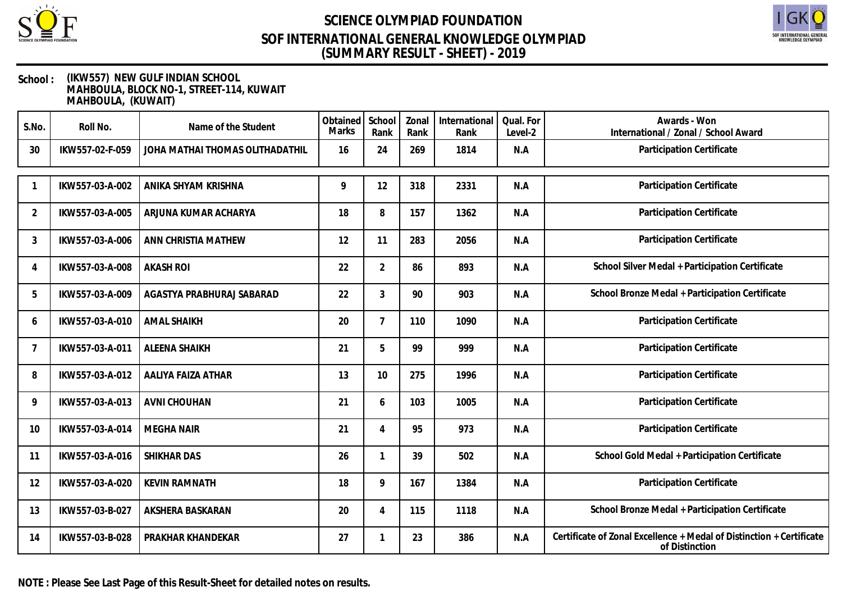



### **School : (IKW557) NEW GULF INDIAN SCHOOL MAHBOULA, BLOCK NO-1, STREET-114, KUWAIT MAHBOULA, (KUWAIT)**

| S.No.          | Roll No.        | Name of the Student             | Obtained<br>Marks | School<br>Rank | Zonal<br>Rank | International<br>Rank | Qual. For<br>Level-2 | Awards - Won<br>International / Zonal / School Award                                   |
|----------------|-----------------|---------------------------------|-------------------|----------------|---------------|-----------------------|----------------------|----------------------------------------------------------------------------------------|
| 30             | IKW557-02-F-059 | JOHA MATHAI THOMAS OLITHADATHIL | 16                | 24             | 269           | 1814                  | N.A                  | Participation Certificate                                                              |
|                | IKW557-03-A-002 | ANIKA SHYAM KRISHNA             | 9                 | 12             | 318           | 2331                  | N.A                  | Participation Certificate                                                              |
| 2              | IKW557-03-A-005 | ARJUNA KUMAR ACHARYA            | 18                | 8              | 157           | 1362                  | N.A                  | Participation Certificate                                                              |
| 3              | IKW557-03-A-006 | ANN CHRISTIA MATHEW             | 12                | 11             | 283           | 2056                  | N.A                  | Participation Certificate                                                              |
| 4              | IKW557-03-A-008 | <b>AKASH ROI</b>                | 22                | $\overline{2}$ | 86            | 893                   | N.A                  | School Silver Medal + Participation Certificate                                        |
| 5              | IKW557-03-A-009 | AGASTYA PRABHURAJ SABARAD       | 22                | 3              | 90            | 903                   | N.A                  | School Bronze Medal + Participation Certificate                                        |
| 6              | IKW557-03-A-010 | <b>AMAL SHAIKH</b>              | 20                | $\overline{7}$ | 110           | 1090                  | N.A                  | Participation Certificate                                                              |
| $\overline{7}$ | IKW557-03-A-011 | <b>ALEENA SHAIKH</b>            | 21                | 5              | 99            | 999                   | N.A                  | Participation Certificate                                                              |
| 8              | IKW557-03-A-012 | AALIYA FAIZA ATHAR              | 13                | 10             | 275           | 1996                  | N.A                  | Participation Certificate                                                              |
| 9              | IKW557-03-A-013 | <b>AVNI CHOUHAN</b>             | 21                | 6              | 103           | 1005                  | N.A                  | Participation Certificate                                                              |
| 10             | IKW557-03-A-014 | <b>MEGHA NAIR</b>               | 21                | 4              | 95            | 973                   | N.A                  | Participation Certificate                                                              |
| 11             | IKW557-03-A-016 | <b>SHIKHAR DAS</b>              | 26                | 1              | 39            | 502                   | N.A                  | School Gold Medal + Participation Certificate                                          |
| 12             | IKW557-03-A-020 | <b>KEVIN RAMNATH</b>            | 18                | 9              | 167           | 1384                  | N.A                  | Participation Certificate                                                              |
| 13             | IKW557-03-B-027 | AKSHERA BASKARAN                | 20                | $\overline{4}$ | 115           | 1118                  | N.A                  | School Bronze Medal + Participation Certificate                                        |
| 14             | IKW557-03-B-028 | PRAKHAR KHANDEKAR               | 27                | 1              | 23            | 386                   | N.A                  | Certificate of Zonal Excellence + Medal of Distinction + Certificate<br>of Distinction |

**NOTE : Please See Last Page of this Result-Sheet for detailed notes on results.**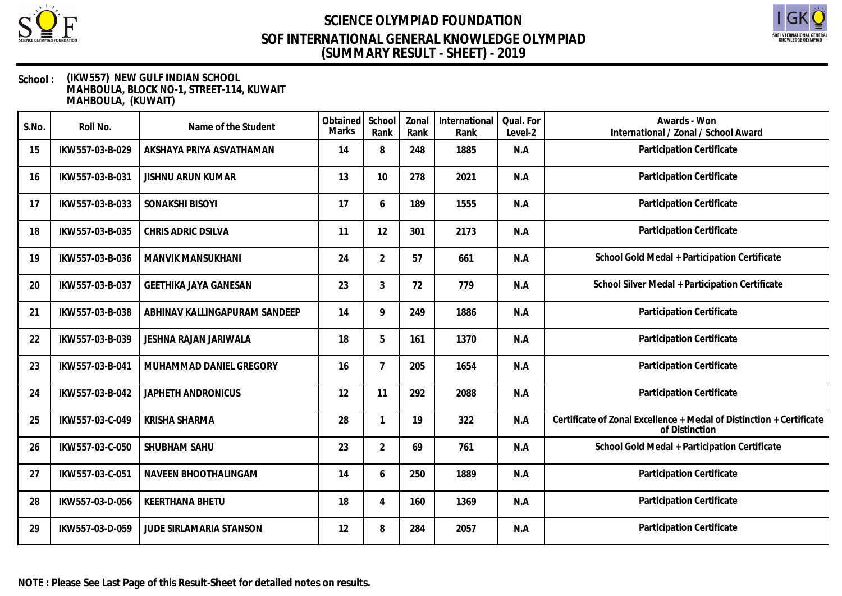



| S.No. | Roll No.        | Name of the Student           | Obtained<br><b>Marks</b> | School<br>Rank | Zonal<br>Rank | International<br>Rank | Qual. For<br>Level-2 | Awards - Won<br>International / Zonal / School Award                                   |
|-------|-----------------|-------------------------------|--------------------------|----------------|---------------|-----------------------|----------------------|----------------------------------------------------------------------------------------|
| 15    | IKW557-03-B-029 | AKSHAYA PRIYA ASVATHAMAN      | 14                       | 8              | 248           | 1885                  | N.A                  | Participation Certificate                                                              |
| 16    | IKW557-03-B-031 | <b>JISHNU ARUN KUMAR</b>      | 13                       | 10             | 278           | 2021                  | N.A                  | Participation Certificate                                                              |
| 17    | IKW557-03-B-033 | <b>SONAKSHI BISOYI</b>        | 17                       | 6              | 189           | 1555                  | N.A                  | Participation Certificate                                                              |
| 18    | IKW557-03-B-035 | CHRIS ADRIC DSILVA            | 11                       | 12             | 301           | 2173                  | N.A                  | Participation Certificate                                                              |
| 19    | IKW557-03-B-036 | <b>MANVIK MANSUKHANI</b>      | 24                       | $\overline{2}$ | 57            | 661                   | N.A                  | School Gold Medal + Participation Certificate                                          |
| 20    | IKW557-03-B-037 | <b>GEETHIKA JAYA GANESAN</b>  | 23                       | 3              | 72            | 779                   | N.A                  | School Silver Medal + Participation Certificate                                        |
| 21    | IKW557-03-B-038 | ABHINAV KALLINGAPURAM SANDEEP | 14                       | 9              | 249           | 1886                  | N.A                  | Participation Certificate                                                              |
| 22    | IKW557-03-B-039 | JESHNA RAJAN JARIWALA         | 18                       | 5              | 161           | 1370                  | N.A                  | Participation Certificate                                                              |
| 23    | IKW557-03-B-041 | MUHAMMAD DANIEL GREGORY       | 16                       | $\overline{7}$ | 205           | 1654                  | N.A                  | Participation Certificate                                                              |
| 24    | IKW557-03-B-042 | JAPHETH ANDRONICUS            | 12                       | 11             | 292           | 2088                  | N.A                  | Participation Certificate                                                              |
| 25    | IKW557-03-C-049 | <b>KRISHA SHARMA</b>          | 28                       |                | 19            | 322                   | N.A                  | Certificate of Zonal Excellence + Medal of Distinction + Certificate<br>of Distinction |
| 26    | IKW557-03-C-050 | SHUBHAM SAHU                  | 23                       | $\overline{2}$ | 69            | 761                   | N.A                  | School Gold Medal + Participation Certificate                                          |
| 27    | IKW557-03-C-051 | NAVEEN BHOOTHALINGAM          | 14                       | 6              | 250           | 1889                  | N.A                  | Participation Certificate                                                              |
| 28    | IKW557-03-D-056 | <b>KEERTHANA BHETU</b>        | 18                       | 4              | 160           | 1369                  | N.A                  | Participation Certificate                                                              |
| 29    | IKW557-03-D-059 | JUDE SIRLAMARIA STANSON       | 12                       | 8              | 284           | 2057                  | N.A                  | Participation Certificate                                                              |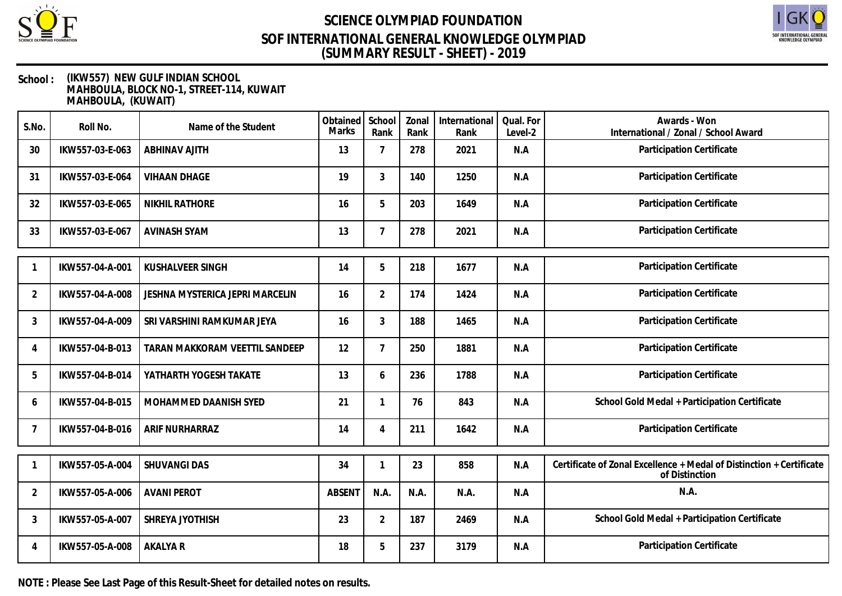



### **School : (IKW557) NEW GULF INDIAN SCHOOL MAHBOULA, BLOCK NO-1, STREET-114, KUWAIT MAHBOULA, (KUWAIT)**

| S.No.          | Roll No.        | Name of the Student                    | Obtained<br><b>Marks</b> | School<br>Rank | Zonal<br>Rank | International<br>Rank | Qual. For<br>Level-2 | Awards - Won<br>International / Zonal / School Award                                   |
|----------------|-----------------|----------------------------------------|--------------------------|----------------|---------------|-----------------------|----------------------|----------------------------------------------------------------------------------------|
| 30             | IKW557-03-E-063 | <b>ABHINAV AJITH</b>                   | 13                       | $\overline{7}$ | 278           | 2021                  | N.A                  | Participation Certificate                                                              |
| 31             | IKW557-03-E-064 | <b>VIHAAN DHAGE</b>                    | 19                       | 3              | 140           | 1250                  | N.A                  | Participation Certificate                                                              |
| 32             | IKW557-03-E-065 | <b>NIKHIL RATHORE</b>                  | 16                       | 5              | 203           | 1649                  | N.A                  | Participation Certificate                                                              |
| 33             | IKW557-03-E-067 | <b>AVINASH SYAM</b>                    | 13                       | $\overline{7}$ | 278           | 2021                  | N.A                  | Participation Certificate                                                              |
|                | IKW557-04-A-001 | <b>KUSHALVEER SINGH</b>                | 14                       | 5              | 218           | 1677                  | N.A                  | Participation Certificate                                                              |
| $\overline{2}$ | IKW557-04-A-008 | <b>JESHNA MYSTERICA JEPRI MARCELIN</b> | 16                       | $\overline{2}$ | 174           | 1424                  | N.A                  | Participation Certificate                                                              |
| 3              | IKW557-04-A-009 | SRI VARSHINI RAMKUMAR JEYA             | 16                       | 3              | 188           | 1465                  | N.A                  | Participation Certificate                                                              |
| 4              | IKW557-04-B-013 | TARAN MAKKORAM VEETTIL SANDEEP         | 12                       | $\overline{7}$ | 250           | 1881                  | N.A                  | Participation Certificate                                                              |
| 5              | IKW557-04-B-014 | YATHARTH YOGESH TAKATE                 | 13                       | 6              | 236           | 1788                  | N.A                  | Participation Certificate                                                              |
| 6              | IKW557-04-B-015 | MOHAMMED DAANISH SYED                  | 21                       | $\mathbf{1}$   | 76            | 843                   | N.A                  | School Gold Medal + Participation Certificate                                          |
| 7              | IKW557-04-B-016 | ARIF NURHARRAZ                         | 14                       | 4              | 211           | 1642                  | N.A                  | Participation Certificate                                                              |
|                | IKW557-05-A-004 | <b>SHUVANGI DAS</b>                    | 34                       | 1              | 23            | 858                   | N.A                  | Certificate of Zonal Excellence + Medal of Distinction + Certificate<br>of Distinction |
| $\overline{2}$ | IKW557-05-A-006 | <b>AVANI PEROT</b>                     | <b>ABSENT</b>            | N.A.           | N.A.          | N.A.                  | N.A                  | N.A.                                                                                   |
| 3              | IKW557-05-A-007 | SHREYA JYOTHISH                        | 23                       | $\overline{2}$ | 187           | 2469                  | N.A                  | School Gold Medal + Participation Certificate                                          |
| 4              | IKW557-05-A-008 | AKALYA R                               | 18                       | 5              | 237           | 3179                  | N.A                  | Participation Certificate                                                              |

**NOTE : Please See Last Page of this Result-Sheet for detailed notes on results.**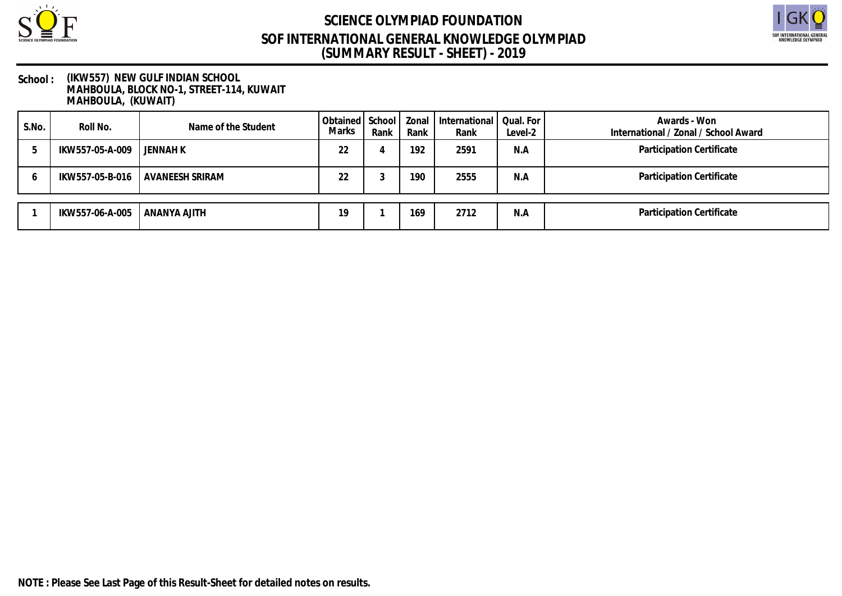



| S.No. | Roll No.        | Name of the Student | Obtained School   Zonal<br><b>Marks</b> | Rank | Rank | International<br>Rank | Qual. For<br>Level-2 | Awards - Won<br>International / Zonal / School Award |
|-------|-----------------|---------------------|-----------------------------------------|------|------|-----------------------|----------------------|------------------------------------------------------|
|       | IKW557-05-A-009 | JENNAH K            | 22                                      |      | 192  | 2591                  | N.A                  | Participation Certificate                            |
|       | IKW557-05-B-016 | l AVANEESH SRIRAM   | 22                                      |      | 190  | 2555                  | N.A                  | Participation Certificate                            |
|       | IKW557-06-A-005 | ANANYA AJITH        | 19                                      |      | 169  | 2712                  | N.A                  | Participation Certificate                            |
|       |                 |                     |                                         |      |      |                       |                      |                                                      |